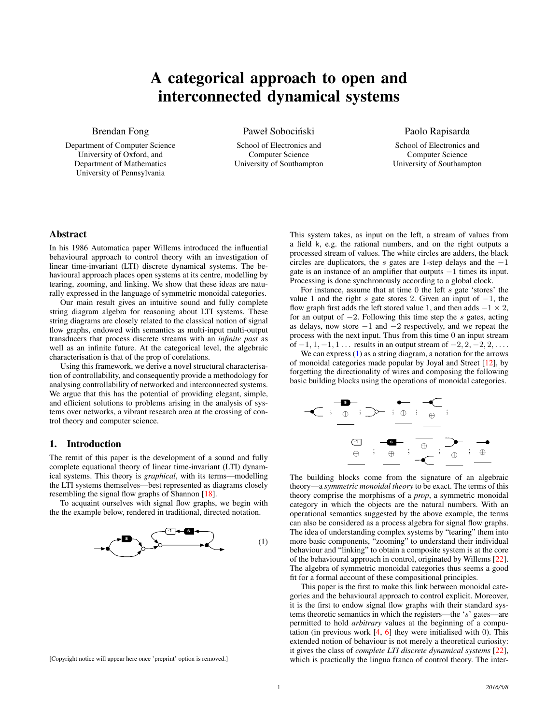# A categorical approach to open and interconnected dynamical systems

Brendan Fong

Department of Computer Science University of Oxford, and Department of Mathematics University of Pennsylvania

Paweł Sobociński

School of Electronics and Computer Science University of Southampton Paolo Rapisarda

School of Electronics and Computer Science University of Southampton

# Abstract

In his 1986 Automatica paper Willems introduced the influential behavioural approach to control theory with an investigation of linear time-invariant (LTI) discrete dynamical systems. The behavioural approach places open systems at its centre, modelling by tearing, zooming, and linking. We show that these ideas are naturally expressed in the language of symmetric monoidal categories.

Our main result gives an intuitive sound and fully complete string diagram algebra for reasoning about LTI systems. These string diagrams are closely related to the classical notion of signal flow graphs, endowed with semantics as multi-input multi-output transducers that process discrete streams with an *infinite past* as well as an infinite future. At the categorical level, the algebraic characterisation is that of the prop of corelations.

Using this framework, we derive a novel structural characterisation of controllability, and consequently provide a methodology for analysing controllability of networked and interconnected systems. We argue that this has the potential of providing elegant, simple, and efficient solutions to problems arising in the analysis of systems over networks, a vibrant research area at the crossing of control theory and computer science.

#### 1. Introduction

The remit of this paper is the development of a sound and fully complete equational theory of linear time-invariant (LTI) dynamical systems. This theory is *graphical*, with its terms—modelling the LTI systems themselves—best represented as diagrams closely resembling the signal flow graphs of Shannon [\[18\]](#page-9-0).

To acquaint ourselves with signal flow graphs, we begin with the the example below, rendered in traditional, directed notation.

<span id="page-0-0"></span>

[Copyright notice will appear here once 'preprint' option is removed.]

This system takes, as input on the left, a stream of values from a field k, e.g. the rational numbers, and on the right outputs a processed stream of values. The white circles are adders, the black circles are duplicators, the s gates are 1-step delays and the  $-1$ gate is an instance of an amplifier that outputs −1 times its input. Processing is done synchronously according to a global clock.

For instance, assume that at time 0 the left s gate 'stores' the value 1 and the right s gate stores 2. Given an input of  $-1$ , the flow graph first adds the left stored value 1, and then adds  $-1 \times 2$ , for an output of  $-2$ . Following this time step the s gates, acting as delays, now store  $-1$  and  $-2$  respectively, and we repeat the process with the next input. Thus from this time 0 an input stream of  $-1, 1, -1, 1, \ldots$  results in an output stream of  $-2, 2, -2, 2, \ldots$ .

We can express  $(1)$  as a string diagram, a notation for the arrows of monoidal categories made popular by Joyal and Street [\[12\]](#page-9-1), by forgetting the directionality of wires and composing the following basic building blocks using the operations of monoidal categories.



The building blocks come from the signature of an algebraic theory—a *symmetric monoidal theory* to be exact. The terms of this theory comprise the morphisms of a *prop*, a symmetric monoidal category in which the objects are the natural numbers. With an operational semantics suggested by the above example, the terms can also be considered as a process algebra for signal flow graphs. The idea of understanding complex systems by "tearing" them into more basic components, "zooming" to understand their individual behaviour and "linking" to obtain a composite system is at the core of the behavioural approach in control, originated by Willems [\[22\]](#page-9-2). The algebra of symmetric monoidal categories thus seems a good fit for a formal account of these compositional principles.

This paper is the first to make this link between monoidal categories and the behavioural approach to control explicit. Moreover, it is the first to endow signal flow graphs with their standard systems theoretic semantics in which the registers—the 's' gates—are permitted to hold *arbitrary* values at the beginning of a computation (in previous work  $[4, 6]$  $[4, 6]$  $[4, 6]$  they were initialised with 0). This extended notion of behaviour is not merely a theoretical curiosity: it gives the class of *complete LTI discrete dynamical systems* [\[22\]](#page-9-2), which is practically the lingua franca of control theory. The inter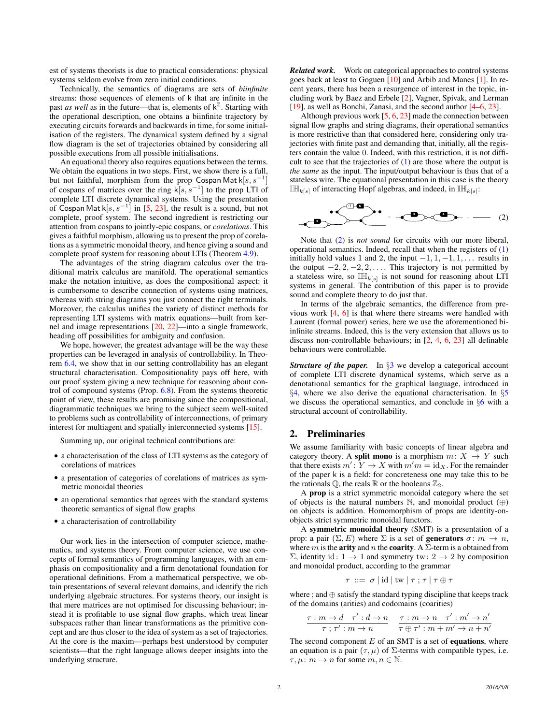est of systems theorists is due to practical considerations: physical systems seldom evolve from zero initial conditions.

Technically, the semantics of diagrams are sets of *biinfinite* streams: those sequences of elements of k that are infinite in the past *as well* as in the future—that is, elements of  $k^{\mathbb{Z}}$ . Starting with the operational description, one obtains a biinfinite trajectory by executing circuits forwards and backwards in time, for some initialisation of the registers. The dynamical system defined by a signal flow diagram is the set of trajectories obtained by considering all possible executions from all possible initialisations.

An equational theory also requires equations between the terms. We obtain the equations in two steps. First, we show there is a full, but not faithful, morphism from the prop Cospan Mat  $k[s, s^{-1}]$ of cospans of matrices over the ring  $\mathsf{k}[s, s^{-1}]$  to the prop LTI of complete LTI discrete dynamical systems. Using the presentation of Cospan Mat k $[s, s^{-1}]$  in [\[5,](#page-9-5) [23\]](#page-9-6), the result is a sound, but not complete, proof system. The second ingredient is restricting our attention from cospans to jointly-epic cospans, or *corelations*. This gives a faithful morphism, allowing us to present the prop of corelations as a symmetric monoidal theory, and hence giving a sound and complete proof system for reasoning about LTIs (Theorem [4.9\)](#page-5-0).

The advantages of the string diagram calculus over the traditional matrix calculus are manifold. The operational semantics make the notation intuitive, as does the compositional aspect: it is cumbersome to describe connection of systems using matrices, whereas with string diagrams you just connect the right terminals. Moreover, the calculus unifies the variety of distinct methods for representing LTI systems with matrix equations—built from kernel and image representations [\[20,](#page-9-7) [22\]](#page-9-2)—into a single framework, heading off possibilities for ambiguity and confusion.

We hope, however, the greatest advantage will be the way these properties can be leveraged in analysis of controllability. In Theorem [6.4,](#page-7-0) we show that in our setting controllability has an elegant structural characterisation. Compositionality pays off here, with our proof system giving a new technique for reasoning about control of compound systems (Prop. [6.8\)](#page-8-0). From the systems theoretic point of view, these results are promising since the compositional, diagrammatic techniques we bring to the subject seem well-suited to problems such as controllability of interconnections, of primary interest for multiagent and spatially interconnected systems [\[15\]](#page-9-8).

Summing up, our original technical contributions are:

- a characterisation of the class of LTI systems as the category of corelations of matrices
- a presentation of categories of corelations of matrices as symmetric monoidal theories
- an operational semantics that agrees with the standard systems theoretic semantics of signal flow graphs
- a characterisation of controllability

Our work lies in the intersection of computer science, mathematics, and systems theory. From computer science, we use concepts of formal semantics of programming languages, with an emphasis on compositionality and a firm denotational foundation for operational definitions. From a mathematical perspective, we obtain presentations of several relevant domains, and identify the rich underlying algebraic structures. For systems theory, our insight is that mere matrices are not optimised for discussing behaviour; instead it is profitable to use signal flow graphs, which treat linear subspaces rather than linear transformations as the primitive concept and are thus closer to the idea of system as a set of trajectories. At the core is the maxim—perhaps best understood by computer scientists—that the right language allows deeper insights into the underlying structure.

*Related work.* Work on categorical approaches to control systems goes back at least to Goguen [\[10\]](#page-9-9) and Arbib and Manes [\[1\]](#page-9-10). In recent years, there has been a resurgence of interest in the topic, including work by Baez and Erbele [\[2\]](#page-9-11), Vagner, Spivak, and Lerman [\[19\]](#page-9-12), as well as Bonchi, Zanasi, and the second author [\[4](#page-9-3)[–6,](#page-9-4) [23\]](#page-9-6).

Although previous work [\[5,](#page-9-5) [6,](#page-9-4) [23\]](#page-9-6) made the connection between signal flow graphs and string diagrams, their operational semantics is more restrictive than that considered here, considering only trajectories with finite past and demanding that, initially, all the registers contain the value 0. Indeed, with this restriction, it is not difficult to see that the trajectories of  $(1)$  are those where the output is *the same* as the input. The input/output behaviour is thus that of a stateless wire. The equational presentation in this case is the theory  $\mathbb{I}_{k[s]}$  of interacting Hopf algebras, and indeed, in  $\mathbb{I}_{k[s]}$ :

<span id="page-1-0"></span>
$$
\begin{array}{ccc}\n & \xrightarrow{\text{co}} & \text{co.} & \text{co.} & \text{co.} \\
 & \xrightarrow{\text{co.} & \text{co.} & \text{co.}} & \text{co.} & \text{co.} \\
 & & \xrightarrow{\text{co.} & \text{co.} & \text{co.}} & \text{co.} & \text{co.} \\
 & & \xrightarrow{\text{co.} & \text{co.} & \text{co.} & \text{co.}} & \text{co.} & \text{co.} \\
\end{array}
$$

Note that [\(2\)](#page-1-0) is *not sound* for circuits with our more liberal, operational semantics. Indeed, recall that when the registers of [\(1\)](#page-0-0) initially hold values 1 and 2, the input  $-1, 1, -1, 1, \ldots$  results in the output  $-2, 2, -2, 2, \ldots$ . This trajectory is not permitted by a stateless wire, so  $\mathbb{I\!H}_{k[s]}$  is not sound for reasoning about LTI systems in general. The contribution of this paper is to provide sound and complete theory to do just that.

In terms of the algebraic semantics, the difference from previous work [\[4,](#page-9-3) [6\]](#page-9-4) is that where there streams were handled with Laurent (formal power) series, here we use the aforementioned biinfinite streams. Indeed, this is the very extension that allows us to discuss non-controllable behaviours; in [\[2,](#page-9-11) [4,](#page-9-3) [6,](#page-9-4) [23\]](#page-9-6) all definable behaviours were controllable.

*Structure of the paper.* In  $\S$ [3](#page-2-0) we develop a categorical account of complete LTI discrete dynamical systems, which serve as a denotational semantics for the graphical language, introduced in §[4,](#page-3-0) where we also derive the equational characterisation. In §[5](#page-6-0) we discuss the operational semantics, and conclude in §[6](#page-7-1) with a structural account of controllability.

# 2. Preliminaries

We assume familiarity with basic concepts of linear algebra and category theory. A **split mono** is a morphism  $m: X \rightarrow Y$  such that there exists  $m' : Y \to X$  with  $m'm = id_X$ . For the remainder of the paper k is a field: for concreteness one may take this to be the rationals  $\mathbb{Q}$ , the reals  $\mathbb{R}$  or the booleans  $\mathbb{Z}_2$ .

A prop is a strict symmetric monoidal category where the set of objects is the natural numbers  $\mathbb N$ , and monoidal product  $(\oplus)$ on objects is addition. Homomorphism of props are identity-onobjects strict symmetric monoidal functors.

A symmetric monoidal theory (SMT) is a presentation of a prop: a pair  $(\Sigma, E)$  where  $\Sigma$  is a set of **generators**  $\sigma \colon m \to n$ , where m is the **arity** and n the **coarity**. A  $\Sigma$ -term is a obtained from  $Σ$ , identity id: 1 → 1 and symmetry tw: 2 → 2 by composition and monoidal product, according to the grammar

$$
\tau ::= \sigma | \mathrm{id} | \mathrm{tw} | \tau; \tau | \tau \oplus \tau
$$

where ; and  $\oplus$  satisfy the standard typing discipline that keeps track of the domains (arities) and codomains (coarities)

$$
\frac{\tau:m\rightarrow d\quad \tau':d\rightarrow n}{\tau;\,\tau':m\rightarrow n}\quad \frac{\tau:m\rightarrow n\quad \tau':m'\rightarrow n'}{\tau\oplus\tau':m+m'\rightarrow n+n'}
$$

The second component  $E$  of an SMT is a set of **equations**, where an equation is a pair  $(\tau, \mu)$  of  $\Sigma$ -terms with compatible types, i.e.  $\tau, \mu \colon m \to n$  for some  $m, n \in \mathbb{N}$ .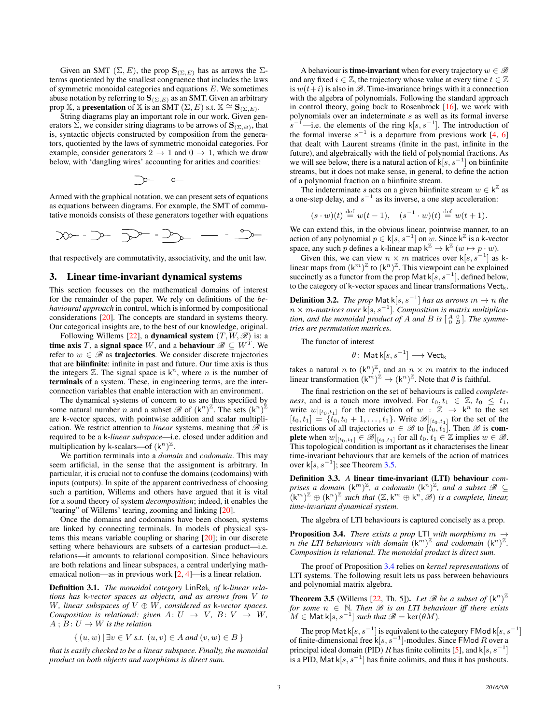Given an SMT  $(\Sigma, E)$ , the prop  $\mathbf{S}_{(\Sigma, E)}$  has as arrows the  $\Sigma$ terms quotiented by the smallest congruence that includes the laws of symmetric monoidal categories and equations  $E$ . We sometimes abuse notation by referring to  $\mathbf{S}_{(\Sigma,E)}$  as an SMT. Given an arbitrary prop X, a **presentation** of X is an SMT  $(\Sigma, E)$  s.t.  $X \cong S_{(\Sigma, E)}$ .

String diagrams play an important role in our work. Given generators  $\Sigma$ , we consider string diagrams to be arrows of  $\mathbf{S}_{(\Sigma,\varnothing)}$ , that is, syntactic objects constructed by composition from the generators, quotiented by the laws of symmetric monoidal categories. For example, consider generators  $2 \rightarrow 1$  and  $0 \rightarrow 1$ , which we draw below, with 'dangling wires' accounting for arities and coarities:

$$
\supset \hspace{-3mm} \multimap \hspace{2mm} \multimap \hspace{2mm}
$$

Armed with the graphical notation, we can present sets of equations as equations between diagrams. For example, the SMT of commutative monoids consists of these generators together with equations

$$
20 - 3 - 3 = 3 - 3 = 3
$$

that respectively are commutativity, associativity, and the unit law.

## <span id="page-2-0"></span>3. Linear time-invariant dynamical systems

This section focusses on the mathematical domains of interest for the remainder of the paper. We rely on definitions of the *behavioural approach* in control, which is informed by compositional considerations [\[20\]](#page-9-7). The concepts are standard in systems theory. Our categorical insights are, to the best of our knowledge, original.

Following Willems [\[22\]](#page-9-2), a **dynamical system**  $(T, W, \mathcal{B})$  is: a time axis T, a signal space W, and a behaviour  $\mathscr{B} \subseteq W^T$ . We refer to  $w \in \mathcal{B}$  as **trajectories**. We consider discrete trajectories that are biinfinite: infinite in past and future. Our time axis is thus the integers  $\mathbb{Z}$ . The signal space is  $k^n$ , where *n* is the number of terminals of a system. These, in engineering terms, are the interconnection variables that enable interaction with an environment.

The dynamical systems of concern to us are thus specified by some natural number *n* and a subset  $\mathscr{B}$  of  $(k^n)^{\mathbb{Z}}$ . The sets  $(k^n)^{\mathbb{Z}}$ are k-vector spaces, with pointwise addition and scalar multiplication. We restrict attention to *linear* systems, meaning that  $\mathscr{B}$  is required to be a k*-linear subspace*—i.e. closed under addition and multiplication by k-scalars—of  $(k^n)^{\mathbb{Z}}$ .

We partition terminals into a *domain* and *codomain*. This may seem artificial, in the sense that the assignment is arbitrary. In particular, it is crucial not to confuse the domains (codomains) with inputs (outputs). In spite of the apparent contrivedness of choosing such a partition, Willems and others have argued that it is vital for a sound theory of system *decomposition*; indeed, it enables the "tearing" of Willems' tearing, zooming and linking [\[20\]](#page-9-7).

Once the domains and codomains have been chosen, systems are linked by connecting terminals. In models of physical systems this means variable coupling or sharing [\[20\]](#page-9-7); in our discrete setting where behaviours are subsets of a cartesian product—i.e. relations—it amounts to relational composition. Since behaviours are both relations and linear subspaces, a central underlying mathematical notion—as in previous work [\[2,](#page-9-11) [4\]](#page-9-3)—is a linear relation.

Definition 3.1. The monoidal category LinRel<sub>k</sub> of k-linear rela*tions has* k*-vector spaces as objects, and as arrows from* V *to* W*, linear subspaces of* V ⊕ W*, considered as* k*-vector spaces. Composition is relational: given*  $A: U \rightarrow V$ ,  $B: V \rightarrow W$ ,  $A$ ;  $B: U \rightarrow W$  *is the relation* 

$$
\{(u, w) | \exists v \in V \text{ s.t. } (u, v) \in A \text{ and } (v, w) \in B \}
$$

*that is easily checked to be a linear subspace. Finally, the monoidal product on both objects and morphisms is direct sum.*

A behaviour is **time-invariant** when for every trajectory  $w \in \mathcal{B}$ and any fixed  $i \in \mathbb{Z}$ , the trajectory whose value at every time  $t \in \mathbb{Z}$ is  $w(t+i)$  is also in  $\mathscr{B}$ . Time-invariance brings with it a connection with the algebra of polynomials. Following the standard approach in control theory, going back to Rosenbrock [\[16\]](#page-9-13), we work with polynomials over an indeterminate s as well as its formal inverse  $s^{-}$  $^{-1}$ —i.e. the elements of the ring k[s, s<sup>-1</sup>]. The introduction of the formal inverse  $s^{-1}$  is a departure from previous work [\[4,](#page-9-3) [6\]](#page-9-4) that dealt with Laurent streams (finite in the past, infinite in the future), and algebraically with the field of polynomial fractions. As we will see below, there is a natural action of  $k[s, s^{-1}]$  on biinfinite streams, but it does not make sense, in general, to define the action of a polynomial fraction on a biinfinite stream.

The indeterminate s acts on a given biinfinite stream  $w \in k^{\mathbb{Z}}$  as a one-step delay, and  $s^{-1}$  as its inverse, a one step acceleration:

$$
(s \cdot w)(t) \stackrel{\text{def}}{=} w(t-1), \quad (s^{-1} \cdot w)(t) \stackrel{\text{def}}{=} w(t+1).
$$

We can extend this, in the obvious linear, pointwise manner, to an action of any polynomial  $p \in k[s, s^{-1}]$  on w. Since  $k^{\mathbb{Z}}$  is a k-vector space, any such p defines a k-linear map  $k^{\mathbb{Z}} \to k^{\mathbb{Z}}$   $(w \mapsto p \cdot w)$ .

Given this, we can view  $n \times m$  matrices over k[s, s<sup>-1</sup>] as klinear maps from  $(k^m)^{\mathbb{Z}}$  to  $(k^n)^{\mathbb{Z}}$ . This viewpoint can be explained succinctly as a functor from the prop Mat  $\mathsf{k}[s, s^{-1}]$ , defined below, to the category of k-vector spaces and linear transformations  $Vect_k$ .

**Definition 3.2.** *The prop* Mat k[ $s, s^{-1}$ ] *has as arrows*  $m \to n$  *the* n × m*-matrices over* k[s, s<sup>−</sup><sup>1</sup> ]*. Composition is matrix multiplication, and the monoidal product of A and B is*  $\begin{bmatrix} A & 0 \\ 0 & B \end{bmatrix}$ *. The symmetries are permutation matrices.*

The functor of interest

$$
\theta\colon \operatorname{\mathsf{Mat}}\nolimits{\mathsf k}[s,s^{-1}] \longrightarrow \operatorname{\mathsf{Vect}}\nolimits_{\mathsf k}
$$

takes a natural n to  $(k^n)^{\mathbb{Z}}$ , and an  $n \times m$  matrix to the induced linear transformation  $(k^m)^{\mathbb{Z}} \to (k^n)^{\mathbb{Z}}$ . Note that  $\theta$  is faithful.

The final restriction on the set of behaviours is called *completeness*, and is a touch more involved. For  $t_0, t_1 \in \mathbb{Z}$ ,  $t_0 \leq t_1$ , write  $w|_{[t_0,t_1]}$  for the restriction of  $w : \mathbb{Z} \to \mathsf{k}^n$  to the set  $[t_0, t_1] = \{t_0, t_0 + 1, \ldots, t_1\}$ . Write  $\mathscr{B}|_{[t_0, t_1]}$  for the set of the restrictions of all trajectories  $w \in \mathscr{B}$  to  $[t_0, t_1]$ . Then  $\mathscr{B}$  is **complete** when  $w|_{[t_0,t_1]} \in \mathcal{B}|_{[t_0,t_1]}$  for all  $t_0, t_1 \in \mathbb{Z}$  implies  $w \in \mathcal{B}$ . This topological condition is important as it characterises the linear time-invariant behaviours that are kernels of the action of matrices over  $k[s, s^{-1}]$ ; see Theorem [3.5.](#page-2-1)

Definition 3.3. *A* linear time-invariant (LTI) behaviour *com*prises a domain  $(k^m)^{\mathbb{Z}}$ , a codomain  $(k^n)^{\mathbb{Z}}$ , and a subset  $\mathscr{B} \subseteq$  $\overline{f}(\mathsf{k}^m)^{\mathbb{Z}} \oplus (\mathsf{k}^n)^{\mathbb{Z}}$  such that  $(\mathbb{Z}, \mathsf{k}^m \oplus \mathsf{k}^n, \mathscr{B})$  is a complete, linear, *time-invariant dynamical system.*

The algebra of LTI behaviours is captured concisely as a prop.

<span id="page-2-2"></span>**Proposition 3.4.** *There exists a prop* LTI *with morphisms*  $m \rightarrow$ *n* the LTI behaviours with domain  $(k^m)^{\mathbb{Z}}$  and codomain  $(k^n)^{\mathbb{Z}}$ . *Composition is relational. The monoidal product is direct sum.*

The proof of Proposition [3.4](#page-2-2) relies on *kernel representations* of LTI systems. The following result lets us pass between behaviours and polynomial matrix algebra.

<span id="page-2-1"></span>**Theorem 3.5** (Willems [\[22,](#page-9-2) Th. 5]). Let  $\mathscr B$  be a subset of  $(k^n)^{\mathbb Z}$ *for some*  $n \in \mathbb{N}$ *. Then*  $\mathcal{B}$  *is an LTI behaviour iff there exists*  $M \in \mathsf{Mat}\, \mathsf{k}[s,s^{-1}]$  *such that*  $\mathscr{B} = \ker(\theta M)$ *.* 

The prop Mat k $[s, s^{-1}]$  is equivalent to the category FMod k $[s, s^{-1}]$ of finite-dimensional free k[ $s, s^{-1}$ ]-modules. Since FMod R over a principal ideal domain (PID) R has finite colimits [\[5\]](#page-9-5), and k[s,  $s^{-1}$ ] is a PID, Mat k[ $s, s^{-1}$ ] has finite colimits, and thus it has pushouts.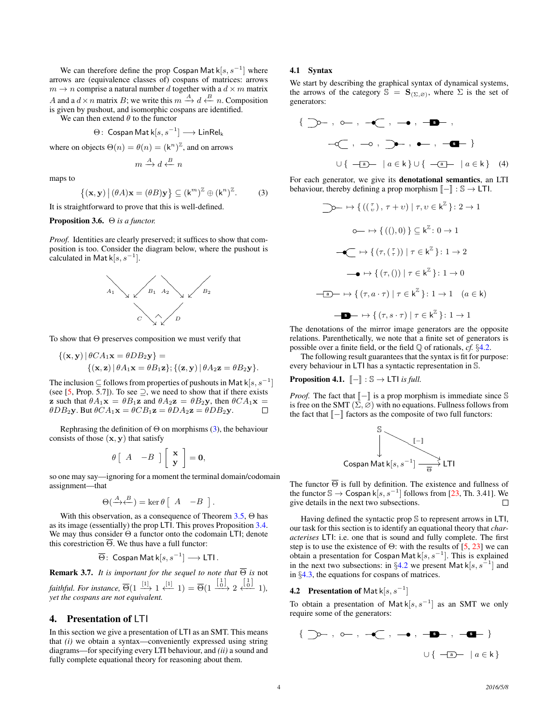We can therefore define the prop Cospan Mat  $\mathsf{k}[s, s^{-1}]$  where arrows are (equivalence classes of) cospans of matrices: arrows  $m \to n$  comprise a natural number d together with a  $d \times m$  matrix A and a  $d \times n$  matrix B; we write this  $m \xrightarrow{A} d \xleftarrow{B} n$ . Composition is given by pushout, and isomorphic cospans are identified.

We can then extend  $\theta$  to the functor

$$
\Theta\colon \operatorname{\mathsf{Cospan}}\nolimits \operatorname{\mathsf{Mat}}\nolimits\mathsf k[s,s^{-1}] \longrightarrow \operatorname{\mathsf{Lin}Rel}\nolimits_\mathsf k
$$

where on objects  $\Theta(n) = \Theta(n) = (\mathsf{k}^n)^{\mathbb{Z}}$ , and on arrows

$$
m \xrightarrow{A} d \xleftarrow{B} n
$$

maps to

<span id="page-3-1"></span>
$$
\{(\mathbf{x}, \mathbf{y}) \, \big| \, (\theta A)\mathbf{x} = (\theta B)\mathbf{y} \} \subseteq (\mathbf{k}^m)^{\mathbb{Z}} \oplus (\mathbf{k}^n)^{\mathbb{Z}}. \tag{3}
$$

It is straightforward to prove that this is well-defined.

### <span id="page-3-5"></span>Proposition 3.6. Θ *is a functor.*

*Proof.* Identities are clearly preserved; it suffices to show that composition is too. Consider the diagram below, where the pushout is calculated in Mat  $\mathsf{k}[s,s^{-1}]$ .



To show that  $\Theta$  preserves composition we must verify that

$$
\{(\mathbf{x}, \mathbf{y}) | \theta CA_1 \mathbf{x} = \theta DB_2 \mathbf{y}\} =
$$
  
 
$$
\{(\mathbf{x}, \mathbf{z}) | \theta A_1 \mathbf{x} = \theta B_1 \mathbf{z}\}; \{(\mathbf{z}, \mathbf{y}) | \theta A_2 \mathbf{z} = \theta B_2 \mathbf{y}\}.
$$

The inclusion  $\subseteq$  follows from properties of pushouts in Mat k $[s, s^{-1}]$ (see [\[5,](#page-9-5) Prop. 5.7]). To see  $\supseteq$ , we need to show that if there exists **z** such that  $\theta A_1 \mathbf{x} = \theta B_1 \mathbf{z}$  and  $\theta A_2 \mathbf{z} = \theta B_2 \mathbf{y}$ , then  $\theta C A_1 \mathbf{x} =$  $\theta DB_2$ y. But  $\theta CA_1$ x =  $\theta CB_1$ z =  $\theta DB_2$ y. П

Rephrasing the definition of  $\Theta$  on morphisms [\(3\)](#page-3-1), the behaviour consists of those  $(x, y)$  that satisfy

$$
\theta \left[ \begin{array}{cc} A & -B \end{array} \right] \left[ \begin{array}{c} \mathbf{x} \\ \mathbf{y} \end{array} \right] = \mathbf{0},
$$

so one may say—ignoring for a moment the terminal domain/codomain assignment—that

$$
\Theta\left(\stackrel{A}{\longrightarrow}\stackrel{B}{\longleftarrow}\right)=\ker\theta\left[\begin{array}{cc}A & -B\end{array}\right].
$$

With this observation, as a consequence of Theorem  $3.5$ ,  $\Theta$  has as its image (essentially) the prop LTI. This proves Proposition [3.4.](#page-2-2) We may thus consider Θ a functor onto the codomain LTI; denote this corestriction  $\overline{\Theta}$ . We thus have a full functor:

$$
\overline{\Theta}\colon \operatorname{\mathsf{Cospan}}\nolimits \operatorname{\mathsf{Mat}}\nolimits\mathsf k[s,s^{-1}] \longrightarrow \operatorname{\mathsf{LTI}}\nolimits.
$$

<span id="page-3-4"></span>**Remark 3.7.** *It is important for the sequel to note that*  $\overline{\Theta}$  *is* not *faithful. For instance*,  $\overline{\Theta}(1 \stackrel{[1]}{\longrightarrow} 1 \stackrel{[1]}{\longleftarrow} 1) = \overline{\Theta}(1 \stackrel{[\frac{1}{0}]}{\longrightarrow} 2 \stackrel{[\frac{1}{0}]}{\longleftarrow} 1)$ , *yet the cospans are not equivalent.*

# <span id="page-3-0"></span>4. Presentation of LTI

In this section we give a presentation of LTI as an SMT. This means that *(i)* we obtain a syntax—conveniently expressed using string diagrams—for specifying every LTI behaviour, and *(ii)* a sound and fully complete equational theory for reasoning about them.

# 4.1 Syntax

We start by describing the graphical syntax of dynamical systems, the arrows of the category  $\mathbb{S} = \mathbf{S}_{(\Sigma, \varnothing)}$ , where  $\Sigma$  is the set of generators:

$$
\{ \Box 0-, \ 0-, \ -\mathbf{C}, \ -\mathbf{O}, \ \Box \mathbf{D}, \ \mathbf{C} \mathbf{D}, \ -\mathbf{C} \mathbf{D}, \ \mathbf{C} \mathbf{D}, \ \mathbf{C} \mathbf{D}, \ \mathbf{C} \mathbf{D}, \ \mathbf{C} \mathbf{D}, \ \mathbf{C} \mathbf{D} \mathbf{D}, \ \mathbf{C} \mathbf{D} \mathbf{D} \mathbf{D}, \ \mathbf{C} \mathbf{D} \mathbf{D} \mathbf{D} \mathbf{D} \mathbf{D} \mathbf{D} \mathbf{D} \mathbf{D} \mathbf{D} \mathbf{D} \mathbf{D} \mathbf{D} \mathbf{D} \mathbf{D} \mathbf{D} \mathbf{D} \mathbf{D} \mathbf{D} \mathbf{D} \mathbf{D} \mathbf{D} \mathbf{D} \mathbf{D} \mathbf{D} \mathbf{D} \mathbf{D} \mathbf{D} \mathbf{D} \mathbf{D} \mathbf{D} \mathbf{D} \mathbf{D} \mathbf{D} \mathbf{D} \mathbf{D} \mathbf{D} \mathbf{D} \mathbf{D} \mathbf{D} \mathbf{D} \mathbf{D} \mathbf{D} \mathbf{D} \mathbf{D} \mathbf{D} \mathbf{D} \mathbf{D} \mathbf{D} \mathbf{D} \mathbf{D} \mathbf{D} \mathbf{D} \mathbf{D} \mathbf{D} \mathbf{D} \mathbf{D} \mathbf{D} \mathbf{D} \mathbf{D} \mathbf{D} \mathbf{D} \mathbf{D} \mathbf{D} \mathbf{D} \mathbf{D} \mathbf{D} \mathbf{D} \mathbf{D} \mathbf{D} \mathbf{D} \mathbf{D} \mathbf{D} \mathbf{D} \mathbf{D} \mathbf{D} \mathbf{D} \mathbf{D} \mathbf{D} \mathbf{D} \mathbf{D} \mathbf{D} \mathbf{D} \mathbf{D} \mathbf{D} \mathbf{D} \mathbf{D} \mathbf{D} \mathbf{D} \mathbf{D} \mathbf{D} \mathbf{D} \mathbf{D} \mathbf{D} \mathbf{D} \mathbf{D} \mathbf{D} \mathbf{D} \mathbf{D} \mathbf{D}
$$

For each generator, we give its denotational semantics, an LTI behaviour, thereby defining a prop morphism  $\llbracket - \rrbracket : \mathbb{S} \to \mathsf{L} \mathsf{T} \mathsf{I}.$ 

<span id="page-3-3"></span>
$$
\bigcirc \rightarrow \{ ((\begin{array}{c} \tau \\ v \end{array}), \tau + v) \mid \tau, v \in k^{\mathbb{Z}} \} : 2 \rightarrow 1
$$
  
\n
$$
\circ \rightarrow \{ ((), 0) \} \subseteq k^{\mathbb{Z}} : 0 \rightarrow 1
$$
  
\n
$$
\neg \bigcirc \rightarrow \{ (\tau, (\tau)) \mid \tau \in k^{\mathbb{Z}} \} : 1 \rightarrow 2
$$
  
\n
$$
\rightarrow \rightarrow \{ (\tau, 0) \mid \tau \in k^{\mathbb{Z}} \} : 1 \rightarrow 0
$$
  
\n
$$
\neg \bigcirc \rightarrow \{ (\tau, a \cdot \tau) \mid \tau \in k^{\mathbb{Z}} \} : 1 \rightarrow 1 \quad (a \in k)
$$
  
\n
$$
\neg \bigcirc \rightarrow \{ (\tau, s \cdot \tau) \mid \tau \in k^{\mathbb{Z}} \} : 1 \rightarrow 1
$$

The denotations of the mirror image generators are the opposite relations. Parenthetically, we note that a finite set of generators is possible over a finite field, or the field Q of rationals, *cf.* §[4.2.](#page-3-2)

The following result guarantees that the syntax is fit for purpose: every behaviour in LTI has a syntactic representation in S.

**Proposition 4.1.**  $\llbracket - \rrbracket : \mathbb{S} \rightarrow \mathsf{LTI}$  *is full.* 

*Proof.* The fact that  $\llbracket - \rrbracket$  is a prop morphism is immediate since S is free on the SMT  $(\Sigma, \overline{\varnothing})$  with no equations. Fullness follows from the fact that  $\llbracket - \rrbracket$  factors as the composite of two full functors:



The functor  $\overline{\Theta}$  is full by definition. The existence and fullness of the functor  $\mathbb{S} \to \mathsf{Cospan} \, \mathsf{k}[s, s^{-1}]$  follows from [\[23,](#page-9-6) Th. 3.41]. We give details in the next two subsections.  $\Box$ 

Having defined the syntactic prop S to represent arrows in LTI, our task for this section is to identify an equational theory that *characterises* LTI: i.e. one that is sound and fully complete. The first step is to use the existence of  $\Theta$ : with the results of [\[5,](#page-9-5) [23\]](#page-9-6) we can obtain a presentation for Cospan Mat  $k[s, s^{-1}]$ . This is explained in the next two subsections: in §[4.2](#page-3-2) we present Mat  $k[s, s^{-1}]$  and in §[4.3,](#page-4-0) the equations for cospans of matrices.

# <span id="page-3-2"></span>**4.2** Presentation of Mat  $k[s, s^{-1}]$

To obtain a presentation of Mat  $k[s, s^{-1}]$  as an SMT we only require some of the generators:

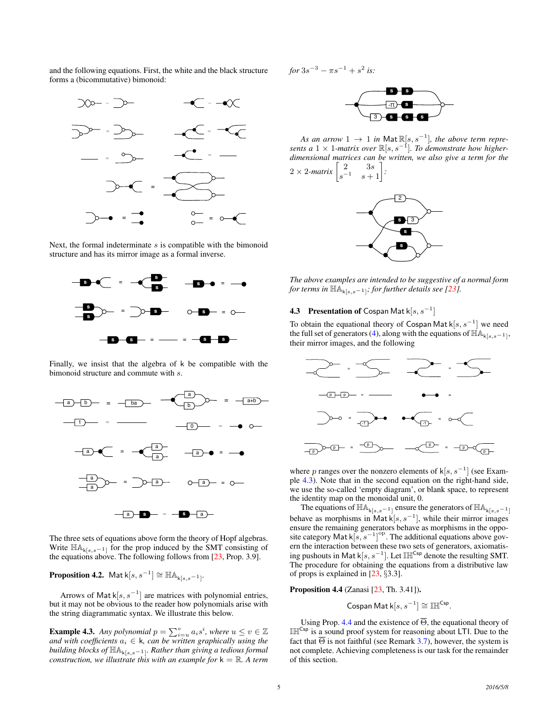and the following equations. First, the white and the black structure forms a (bicommutative) bimonoid:



Next, the formal indeterminate  $s$  is compatible with the bimonoid structure and has its mirror image as a formal inverse.



Finally, we insist that the algebra of k be compatible with the bimonoid structure and commute with s.



The three sets of equations above form the theory of Hopf algebras. Write  $\mathbb{H}\mathbb{A}_{k[s,s-1]}$  for the prop induced by the SMT consisting of the equations above. The following follows from [\[23,](#page-9-6) Prop. 3.9].

**Proposition 4.2.** Mat  $k[s, s^{-1}] \cong \mathbb{H}\mathbb{A}_{k[s, s^{-1}]}$ .

Arrows of Mat  $k[s, s^{-1}]$  are matrices with polynomial entries, but it may not be obvious to the reader how polynomials arise with the string diagrammatic syntax. We illustrate this below.

<span id="page-4-1"></span>**Example 4.3.** Any polynomial  $p = \sum_{i=u}^{v} a_i s^i$ , where  $u \le v \in \mathbb{Z}$  $\mathit{and with coefficients} \; a_i \in \mathsf{k}$ *, can be written graphically using the building blocks of*  $\mathbb{H}\mathbb{A}_{k[s,s-1]}$ *. Rather than giving a tedious formal construction, we illustrate this with an example for*  $k = \mathbb{R}$ *. A term*   $for 3s^{-3} - \pi s^{-1} + s^2$  is:



As an arrow  $1 \rightarrow 1$  in  $\mathsf{Mat}\mathbb{R}[s,s^{-1}]$ , the above term repre*sents a* 1 × 1*-matrix over* R[s, s<sup>−</sup><sup>1</sup> ]*. To demonstrate how higherdimensional matrices can be written, we also give a term for the*  $2 \times 2$ -matrix  $\begin{bmatrix} 2 & 3s \\ 2s & 3s \end{bmatrix}$  $\begin{bmatrix} 2 & 3s \\ s^{-1} & s+1 \end{bmatrix}$ *:*



*The above examples are intended to be suggestive of a normal form for terms in*  $\mathbb{H}\mathbb{A}_{k[s,s-1]}$ ; *for further details see [\[23\]](#page-9-6).* 

# <span id="page-4-0"></span>**4.3** Presentation of Cospan Mat  $k[s, s^{-1}]$

To obtain the equational theory of Cospan Mat  $k[s, s^{-1}]$  we need the full set of generators [\(4\)](#page-3-3), along with the equations of  $\mathbb{H} \mathbb{A}_{k[s,s-1]},$ their mirror images, and the following



where p ranges over the nonzero elements of  $\mathsf{k}[s, s^{-1}]$  (see Example [4.3\)](#page-4-1). Note that in the second equation on the right-hand side, we use the so-called 'empty diagram', or blank space, to represent the identity map on the monoidal unit, 0.

The equations of  $\mathbb{H}\mathbb{A}_{k[s,s-1]}$  ensure the generators of  $\mathbb{H}\mathbb{A}_{k[s,s-1]}$ behave as morphisms in Mat  $k[s, s^{-1}]$ , while their mirror images ensure the remaining generators behave as morphisms in the opposite category Mat  $k[s, s^{-1}]^{op}$ . The additional equations above govern the interaction between these two sets of generators, axiomatising pushouts in Mat k[ $s, s^{-1}$ ]. Let IHI<sup>Csp</sup> denote the resulting SMT. The procedure for obtaining the equations from a distributive law of props is explained in [\[23,](#page-9-6) §3.3].

<span id="page-4-2"></span>Proposition 4.4 (Zanasi [\[23,](#page-9-6) Th. 3.41]).

Cospan Mat  $\mathsf{k}[s,s^{-1}] \cong \mathbb{IH}^{\mathsf{Csp}}$ .

Using Prop. [4.4](#page-4-2) and the existence of  $\overline{\Theta}$ , the equational theory of  $III^{Csp}$  is a sound proof system for reasoning about LTI. Due to the fact that  $\overline{\Theta}$  is not faithful (see Remark [3.7\)](#page-3-4), however, the system is not complete. Achieving completeness is our task for the remainder of this section.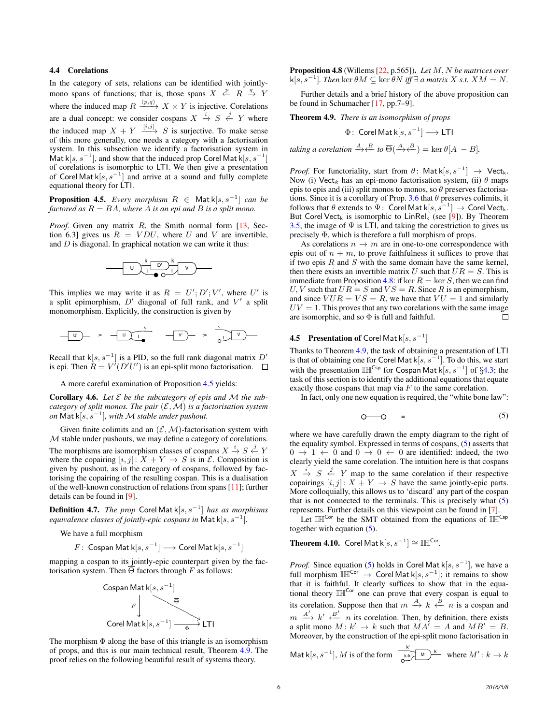## 4.4 Corelations

In the category of sets, relations can be identified with jointlymono spans of functions; that is, those spans  $X \nleftrightarrow P$   $R \rightarrow Y$ where the induced map  $R \xrightarrow{\langle p,q \rangle} X \times Y$  is injective. Corelations are a dual concept: we consider cospans  $X \stackrel{i}{\rightarrow} S \stackrel{j}{\leftarrow} Y$  where the induced map  $X + Y \xrightarrow{[i,j]} S$  is surjective. To make sense of this more generally, one needs a category with a factorisation system. In this subsection we identify a factorisation system in Mat k[ $s, s^{-1}$ ], and show that the induced prop Corel Mat k[ $s, s^{-1}$ ] of corelations is isomorphic to LTI. We then give a presentation of Corel Mat  $k[s, s^{-1}]$  and arrive at a sound and fully complete equational theory for LTI.

<span id="page-5-1"></span>**Proposition 4.5.** *Every morphism*  $R \in$  Mat k[ $s, s^{-1}$ ] *can be factored as*  $R = BA$ *, where*  $A$  *is an epi and*  $B$  *is a split mono.* 

*Proof.* Given any matrix R, the Smith normal form [\[13,](#page-9-14) Section 6.31 gives us  $R = VDU$ , where U and V are invertible. and D is diagonal. In graphical notation we can write it thus:

$$
\begin{array}{c|c}\n\hline\n\end{array}
$$

This implies we may write it as  $R = U'; D'; V'$ , where U' is a split epimorphism,  $D'$  diagonal of full rank, and  $V'$  a split monomorphism. Explicitly, the construction is given by

$$
-\boxed{v} = -\boxed{v} \frac{k}{\sqrt{1-\frac{v}{v}}} = -\boxed{v} = \frac{k}{\sqrt{1-v}}.
$$

Recall that  $k[s, s^{-1}]$  is a PID, so the full rank diagonal matrix  $D'$ is epi. Then  $R = V^{\prime}(D^{\prime}U^{\prime})$  is an epi-split mono factorisation.

A more careful examination of Proposition [4.5](#page-5-1) yields:

Corollary 4.6. *Let* E *be the subcategory of epis and* M *the subcategory of split monos. The pair*  $(\mathcal{E}, \mathcal{M})$  *is a factorisation system on* Mat k[s, s<sup>−</sup><sup>1</sup> ]*, with* M *stable under pushout.*

Given finite colimits and an  $(\mathcal{E}, \mathcal{M})$ -factorisation system with M stable under pushouts, we may define a category of corelations. The morphisms are isomorphism classes of cospans  $X \stackrel{i}{\rightarrow} S \stackrel{j}{\leftarrow} Y$ where the copairing  $[i, j]: X + Y \rightarrow S$  is in  $\mathcal{E}$ . Composition is given by pushout, as in the category of cospans, followed by factorising the copairing of the resulting cospan. This is a dualisation of the well-known construction of relations from spans [\[11\]](#page-9-15); further details can be found in [\[9\]](#page-9-16).

Definition 4.7. *The prop* Corel Mat k[s, s<sup>−</sup><sup>1</sup> ] *has as morphisms equivalence classes of jointly-epic cospans in* Mat k $[s, s^{-1}]$ .

We have a full morphism

$$
F\colon \operatorname{\mathsf{Cospan}}\nolimits \operatorname{\mathsf{Mat}}\nolimits{\mathsf k}[s,s^{-1}] \longrightarrow \operatorname{\mathsf{Core}}\nolimits \operatorname{\mathsf{Mat}}\nolimits{\mathsf k}[s,s^{-1}]
$$

mapping a cospan to its jointly-epic counterpart given by the factorisation system. Then  $\overline{\Theta}$  factors through F as follows:



<span id="page-5-2"></span>The morphism  $\Phi$  along the base of this triangle is an isomorphism of props, and this is our main technical result, Theorem [4.9.](#page-5-0) The proof relies on the following beautiful result of systems theory.

Proposition 4.8 (Willems [\[22,](#page-9-2) p.565]). *Let* M, N *be matrices over*  $k[s, s^{-1}]$ *. Then* ker  $\theta M \subseteq \ker \theta N$  *iff*  $\exists$  *a matrix* X *s.t.*  $XM = N$ *.* 

Further details and a brief history of the above proposition can be found in Schumacher [\[17,](#page-9-17) pp.7–9].

<span id="page-5-0"></span>Theorem 4.9. *There is an isomorphism of props*

$$
\Phi: \text{ Corel Mat } k[s, s^{-1}] \longrightarrow \text{LTI}
$$
\n
$$
\text{taking a correlation } \xrightarrow{A} \xleftarrow{B} \text{ to } \overline{\Theta}(\xrightarrow{A} \xleftarrow{B}) = \ker \theta[A - B].
$$

*Proof.* For functoriality, start from  $\theta$ : Mat  $k[s, s^{-1}] \rightarrow$  Vect<sub>k</sub>. Now (i) Vect<sub>k</sub> has an epi-mono factorisation system, (ii)  $\theta$  maps epis to epis and (iii) split monos to monos, so  $\theta$  preserves factorisa-tions. Since it is a corollary of Prop. [3.6](#page-3-5) that  $\theta$  preserves colimits, it follows that  $\theta$  extends to  $\Psi$ : Corel Mat  $k[s, s^{-1}] \rightarrow$  Corel Vect<sub>k</sub>. But Corel Vect<sub>k</sub> is isomorphic to LinRel<sub>k</sub> (see [\[9\]](#page-9-16)). By Theorem [3.5,](#page-2-1) the image of  $\Psi$  is LTI, and taking the corestriction to gives us precisely Φ, which is therefore a full morphism of props.

As corelations  $n \to m$  are in one-to-one correspondence with epis out of  $n + m$ , to prove faithfulness it suffices to prove that if two epis  $R$  and  $S$  with the same domain have the same kernel, then there exists an invertible matrix U such that  $UR = S$ . This is immediate from Proposition [4.8:](#page-5-2) if ker  $R = \text{ker } S$ , then we can find U, V such that  $UR = S$  and  $VS = R$ . Since R is an epimorphism, and since  $VUR = VS = R$ , we have that  $VU = 1$  and similarly  $UV = 1$ . This proves that any two corelations with the same image are isomorphic, and so  $\Phi$  is full and faithful. are isomorphic, and so  $\Phi$  is full and faithful.

# **4.5 Presentation of Corel Mat**  $k[s, s^{-1}]$

Thanks to Theorem [4.9,](#page-5-0) the task of obtaining a presentation of LTI is that of obtaining one for Corel Mat  $k[s, s^{-1}]$ . To do this, we start with the presentation  $\mathbb{IH}^{\mathsf{Csp}}$  for Cospan Mat k[s, s<sup>-1</sup>] of §[4.3;](#page-4-0) the task of this section is to identify the additional equations that equate exactly those cospans that map via  $F$  to the same corelation.

In fact, only one new equation is required, the "white bone law":

<span id="page-5-3"></span>
$$
O \hspace{1cm} = \hspace{1cm} (5)
$$

where we have carefully drawn the empty diagram to the right of the equality symbol. Expressed in terms of cospans, [\(5\)](#page-5-3) asserts that  $0 \rightarrow 1 \leftarrow 0$  and  $0 \rightarrow 0 \leftarrow 0$  are identified: indeed, the two clearly yield the same corelation. The intuition here is that cospans  $X \stackrel{i}{\rightarrow} S \stackrel{j}{\leftarrow} Y$  map to the same corelation if their respective copairings  $[i, j]: X + Y \rightarrow S$  have the same jointly-epic parts. More colloquially, this allows us to 'discard' any part of the cospan that is not connected to the terminals. This is precisely what [\(5\)](#page-5-3) represents. Further details on this viewpoint can be found in [\[7\]](#page-9-18).

Let  $\mathbb{I} \mathbb{H}^{\mathsf{Cor}}$  be the SMT obtained from the equations of  $\mathbb{I} \mathbb{H}^{\mathsf{Csp}}$ together with equation [\(5\)](#page-5-3).

**Theorem 4.10.** Corel Mat  $k[s, s^{-1}] \cong \mathbb{IH}^{\mathsf{Cor}}$ .

*Proof.* Since equation [\(5\)](#page-5-3) holds in Corel Mat  $k[s, s^{-1}]$ , we have a full morphism IHI<sup>Cor</sup> → Corel Mat k[ $s, s^{-1}$ ]; it remains to show that it is faithful. It clearly suffices to show that in the equational theory  $\mathbb{IH}^{\mathsf{Cor}}$  one can prove that every cospan is equal to its corelation. Suppose then that  $m \stackrel{A}{\rightarrow} k \stackrel{B}{\leftarrow} n$  is a cospan and  $m \stackrel{A'}{\longrightarrow} k' \stackrel{B'}{\longleftarrow} n$  its corelation. Then, by definition, there exists a split mono  $M: k' \to k$  such that  $MA' = A$  and  $MB' = B$ . Moreover, by the construction of the epi-split mono factorisation in

Mat k[s, 
$$
s^{-1}
$$
], M is of the form  $\frac{k!}{s^{k!}} \sqrt{m!} k$  where  $M': k \to k$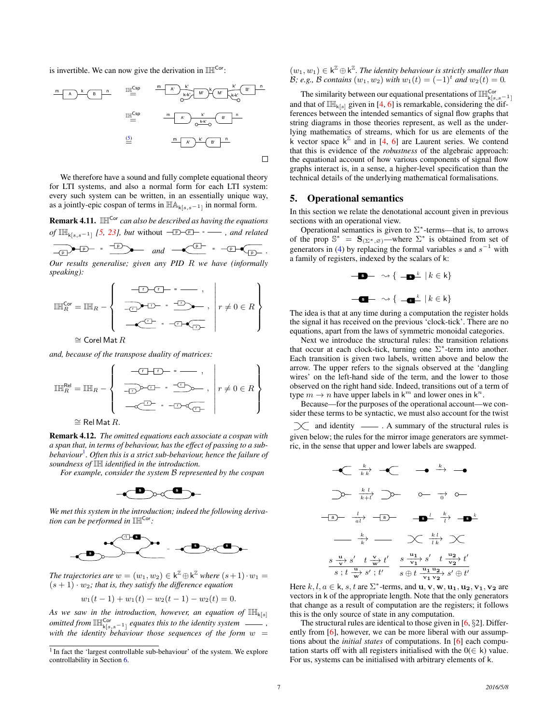is invertible. We can now give the derivation in  $\mathbb{IH}^{\mathsf{Cor}}$ :



We therefore have a sound and fully complete equational theory for LTI systems, and also a normal form for each LTI system: every such system can be written, in an essentially unique way, as a jointly-epic cospan of terms in  $\mathbb{H}\mathbb{A}_{k[s,s-1]}$  in normal form.

Remark 4.11. IHCor *can also be described as having the equations of*  $\mathbb{I}_{k[s,s-1]}$  [\[5,](#page-9-5) [23\]](#page-9-6), but without  $-\mathbb{D}-\mathbb{D}$  =  $\_\_\_\$  *, and related* 

$$
\frac{1}{\sqrt{D}}\left(\frac{1}{D}\right) = \frac{1}{\sqrt{D}}\left(\frac{1}{D}\right) = \text{ and } \frac{1}{\sqrt{D}}\left(\frac{1}{D}\right) = \frac{1}{\sqrt{D}}\left(\frac{1}{D}\right)
$$

*Our results generalise; given any PID* R *we have (informally speaking):*

$$
\mathbb{IH}_{R}^{\text{Cor}} = \mathbb{IH}_{R} - \left\{ \begin{array}{c} \begin{array}{c} \begin{array}{c} \begin{array}{c} \text{-}\text{D} \text{-}\text{C} \text{I} \text{-} \text{ = } \text{---} \end{array}, \\ \begin{array}{c} \begin{array}{c} \text{and } \text{c} \end{array} \end{array}, \\ \begin{array}{c} \begin{array}{c} \text{III} \end{array} \end{array}, \begin{array}{c} \begin{array}{c} \text{III} \end{array} \end{array}, \begin{array}{c} \begin{array}{c} \text{III} \end{array}, \begin{array}{c} \begin{array}{c} \text{III} \end{array}, \begin{array}{c} \begin{array}{c} \text{III} \end{array}, \begin{array}{c} \begin{array}{c} \text{III} \end{array}, \begin{array}{c} \begin{array}{c} \text{III} \end{array}, \begin{array}{c} \begin{array}{c} \text{III} \end{array}, \begin{array}{c} \end{array}, \begin{array}{c} \begin{array}{c} \text{III} \end{array}, \begin{array}{c} \end{array}, \begin{array}{c} \end{array}, \begin{array}{c} \end{array}, \begin{array}{c} \end{array}, \begin{array}{c} \end{array}, \begin{array}{c} \end{array}, \begin{array}{c} \end{array}, \begin{array}{c} \end{array}, \begin{array}{c} \end{array}, \begin{array}{c} \end{array}, \begin{array}{c} \end{array}, \begin{array}{c} \end{array}, \begin{array}{c} \end{array}, \begin{array}{c} \end{array}, \begin{array}{c} \end{array}, \begin{array}{c} \end{array}, \begin{array}{c} \end{array}, \begin{array}{c} \end{array}, \begin{array}{c} \end{array}, \begin{array}{c} \end{array}, \begin{array}{c} \end{array}, \begin{array}{c} \end{array}, \begin{array}{c} \begin{array}{c} \text{III} \end{array}, \begin{array}{c} \end{array}, \begin{array}{c} \end{array}, \begin{array}{c} \end{array}, \begin{array}{c} \end{array}, \begin{array}{c} \end{array}, \begin{array}{c} \end{array}, \begin{array}{c} \end{array}, \begin{array}{c} \end{array}, \begin{array}{c
$$

 $\cong$  Corel Mat  $R$ 

*and, because of the transpose duality of matrices:*

IHRel <sup>R</sup> = IH<sup>R</sup> − <sup>r</sup> <sup>r</sup> <sup>=</sup> , r <sup>r</sup> <sup>=</sup> <sup>r</sup> , <sup>r</sup> <sup>=</sup> <sup>r</sup> r r 6= 0 ∈ R 

 $\cong$  Rel Mat  $R.$ 

<span id="page-6-2"></span>Remark 4.12. *The omitted equations each associate a cospan with a span that, in terms of behaviour, has the effect of passing to a subbehaviour*[1](#page-6-1) *. Often this is a strict sub-behaviour, hence the failure of soundness of* IH *identified in the introduction.*

*For example, consider the system* B *represented by the cospan*



*We met this system in the introduction; indeed the following derivation can be performed in*  $\mathbb{I}\mathbb{H}^{\mathsf{Cor}}$ :



*The trajectories are*  $w = (w_1, w_2) \in \mathsf{k}^{\mathbb{Z}} \oplus \mathsf{k}^{\mathbb{Z}}$  *where*  $(s+1) \cdot w_1 =$  $(s + 1) \cdot w_2$ ; that is, they satisfy the difference equation

 $w_1(t-1) + w_1(t) - w_2(t-1) - w_2(t) = 0.$ 

As we saw in the introduction, however, an equation of  $\mathbb{I}_{k[s]}$ *omitted from*  $\mathbb{I}_{k[s,s-1]}^{cor}$  *equates this to the identity system*  $\frac{1}{s}$ , with the identity behaviour those sequences of the form  $w =$   $(w_1, w_1) \in \mathsf{k}^{\mathbb{Z}} \oplus \mathsf{k}^{\mathbb{Z}}$ . The identity behaviour is strictly smaller than *B*; *e.g., B contains*  $(w_1, w_2)$  *with*  $w_1(t) = (-1)^t$  *and*  $w_2(t) = 0$ *.* 

The similarity between our equational presentations of  $\mathbb{IH}_{k[s,s-1]}^{\mathsf{Cor}}$ and that of  $\mathbb{IH}_{k[s]}$  given in [\[4,](#page-9-3) [6\]](#page-9-4) is remarkable, considering the differences between the intended semantics of signal flow graphs that string diagrams in those theories represent, as well as the underlying mathematics of streams, which for us are elements of the k vector space  $k^{\mathbb{Z}}$  and in [\[4,](#page-9-3) [6\]](#page-9-4) are Laurent series. We contend that this is evidence of the *robustness* of the algebraic approach: the equational account of how various components of signal flow graphs interact is, in a sense, a higher-level specification than the technical details of the underlying mathematical formalisations.

# <span id="page-6-0"></span>5. Operational semantics

*.*

In this section we relate the denotational account given in previous sections with an operational view.

Operational semantics is given to  $\Sigma^*$ -terms—that is, to arrows of the prop  $\mathbb{S}^* = \mathbf{S}_{(\Sigma^*,\varnothing)}$ —where  $\Sigma^*$  is obtained from set of generators in [\(4\)](#page-3-3) by replacing the formal variables s and  $s^{-1}$  with a family of registers, indexed by the scalars of k:

$$
- \longrightarrow \{ - \longrightarrow k \mid k \in k \}
$$
  

$$
- \square - \sim \{ - \square^k \mid k \in k \}
$$

The idea is that at any time during a computation the register holds the signal it has received on the previous 'clock-tick'. There are no equations, apart from the laws of symmetric monoidal categories.

Next we introduce the structural rules: the transition relations that occur at each clock-tick, turning one  $\Sigma^*$ -term into another. Each transition is given two labels, written above and below the arrow. The upper refers to the signals observed at the 'dangling wires' on the left-hand side of the term, and the lower to those observed on the right hand side. Indeed, transitions out of a term of type  $m \to n$  have upper labels in  $k^m$  and lower ones in  $k^n$ .

Because—for the purposes of the operational account—we consider these terms to be syntactic, we must also account for the twist  $\chi$  and identity  $\chi$ . A summary of the structural rules is

given below; the rules for the mirror image generators are symmetric, in the sense that upper and lower labels are swapped.

$$
\begin{array}{ccccccccc}\n-\text{C} & \frac{k}{k k} & -\text{C} & \longrightarrow & \frac{k}{2} & -\text{O} \\
\hline\n\text{D} & \frac{k l}{k + l} & \text{D} & \text{O} & \frac{1}{0} & \text{O} & \\
\hline\n\text{E} & \frac{l}{k l} & -\text{E} & & \text{E} & \frac{k l}{l k} & \text{E} \\
\hline\n\text{E} & \frac{k}{k} & \text{E} & & \text{E} & \frac{k l}{l k} & \text{E} & \\
\hline\n\text{S} & \frac{\text{u}}{\text{v}} & \text{S} & t & \frac{\text{v}}{\text{w}} & t' & \text{S} & \frac{\text{u}_1}{\text{u}_1} & \text{S} & t & \frac{\text{u}_2}{\text{u}_2} & t' \\
\text{S} & \frac{\text{u}}{\text{v}} & \text{S} & t & \frac{\text{u}}{\text{w}} & s' & t' & \text{S} & \frac{\text{u}_1}{\text{u}_1} & \text{S} & t & \frac{\text{u}_1}{\text{u}_1} & \text{S} & t' \\
\end{array}
$$

Here  $k, l, a \in \mathsf{k}, s, t$  are  $\Sigma^*$ -terms, and  $\mathbf{u}, \mathbf{v}, \mathbf{w}, \mathbf{u_1}, \mathbf{u_2}, \mathbf{v_1}, \mathbf{v_2}$  are vectors in k of the appropriate length. Note that the only generators that change as a result of computation are the registers; it follows this is the only source of state in any computation.

The structural rules are identical to those given in  $[6, §2]$  $[6, §2]$ . Differ-ently from [\[6\]](#page-9-4), however, we can be more liberal with our assumptions about the *initial states* of computations. In [\[6\]](#page-9-4) each computation starts off with all registers initialised with the  $0 \in k$ ) value. For us, systems can be initialised with arbitrary elements of k.

<span id="page-6-1"></span><sup>&</sup>lt;sup>1</sup> In fact the 'largest controllable sub-behaviour' of the system. We explore controllability in Section [6.](#page-7-1)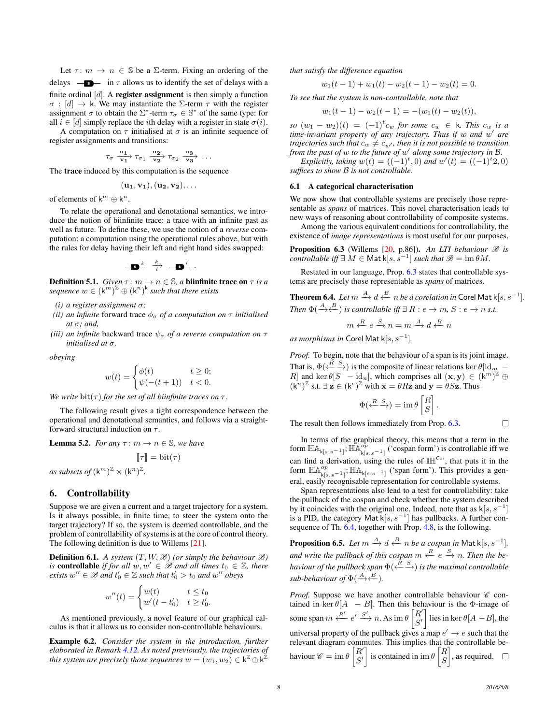Let  $\tau: m \to n \in \mathbb{S}$  be a  $\Sigma$ -term. Fixing an ordering of the delays  $\frac{1}{\sqrt{2}}$  in  $\tau$  allows us to identify the set of delays with a finite ordinal  $[d]$ . A **register assignment** is then simply a function  $\sigma$ : [d]  $\rightarrow$  k. We may instantiate the Σ-term  $\tau$  with the register assignment  $\sigma$  to obtain the  $\Sigma^*$ -term  $\tau_{\sigma} \in \mathbb{S}^*$  of the same type: for all  $i \in [d]$  simply replace the *i*th delay with a register in state  $\sigma(i)$ .

A computation on  $\tau$  initialised at  $\sigma$  is an infinite sequence of register assignments and transitions:

$$
\tau_\sigma \xrightarrow[\mathbf{v}_1]{\mathbf{u}_1} \tau_{\sigma_1} \xrightarrow[\mathbf{v}_2]{\mathbf{u}_2} \tau_{\sigma_2} \xrightarrow[\mathbf{v}_3]{\mathbf{u}_3} \ldots
$$

The trace induced by this computation is the sequence

$$
(\mathbf{u_1},\mathbf{v_1}),(\mathbf{u_2},\mathbf{v_2}),\ldots
$$

of elements of  $k^m \oplus k^n$ .

To relate the operational and denotational semantics, we introduce the notion of biinfinite trace: a trace with an infinite past as well as future. To define these, we use the notion of a *reverse* computation: a computation using the operational rules above, but with the rules for delay having their left and right hand sides swapped:

**s** <sup>k</sup> <sup>k</sup>−→<sup>l</sup> **s** <sup>l</sup> .

**Definition 5.1.** *Given*  $\tau$  :  $m \to n \in \mathbb{S}$ , *a* **biinfinite trace on**  $\tau$  *is a sequence*  $w \in (\mathsf{k}^m)^{\mathbb{Z}} \oplus (\mathsf{k}^n)^{\mathsf{k}}$  *such that there exists* 

- *(i) a register assignment* σ*;*
- *(ii) an infinite* forward trace  $\phi_{\sigma}$  *of a computation on*  $\tau$  *initialised at* σ*; and,*
- *(iii) an infinite* backward trace  $\psi_{\sigma}$  *of a reverse computation on*  $\tau$ *initialised at* σ*,*

*obeying*

$$
w(t) = \begin{cases} \phi(t) & t \ge 0; \\ \psi(-(t+1)) & t < 0. \end{cases}
$$

*We write*  $\mathrm{bit}(\tau)$  *for the set of all biinfinite traces on*  $\tau$ *.* 

The following result gives a tight correspondence between the operational and denotational semantics, and follows via a straightforward structural induction on  $\tau$ .

**Lemma 5.2.** *For any*  $\tau$  :  $m \to n \in \mathbb{S}$ *, we have* 

$$
\llbracket \tau \rrbracket = \text{bit}(\tau)
$$
\nas subsets of  $(\mathbf{k}^m)^{\mathbb{Z}} \times (\mathbf{k}^n)^{\mathbb{Z}}$ .

# <span id="page-7-1"></span>6. Controllability

Suppose we are given a current and a target trajectory for a system. Is it always possible, in finite time, to steer the system onto the target trajectory? If so, the system is deemed controllable, and the problem of controllability of systems is at the core of control theory. The following definition is due to Willems [\[21\]](#page-9-19).

**Definition 6.1.** A system  $(T, W, \mathcal{B})$  (or simply the behaviour  $\mathcal{B}$ ) *is* **controllable** *if for all*  $w, w' \in \mathcal{B}$  *and all times*  $t_0 \in \mathbb{Z}$ *, there*  $\text{exists } w'' \in \mathcal{B} \text{ and } t'_0 \in \mathbb{Z} \text{ such that } t'_0 > t_0 \text{ and } w'' \text{ obeys}$ 

$$
w''(t) = \begin{cases} w(t) & t \le t_0 \\ w'(t - t_0') & t \ge t_0' . \end{cases}
$$

As mentioned previously, a novel feature of our graphical calculus is that it allows us to consider non-controllable behaviours.

<span id="page-7-3"></span>Example 6.2. *Consider the system in the introduction, further elaborated in Remark [4.12.](#page-6-2) As noted previously, the trajectories of* this system are precisely those sequences  $w = (w_1, w_2) \in \mathsf{k}^{\mathbb{Z}} \oplus \mathsf{k}^{\mathbb{Z}}$ 

*that satisfy the difference equation*

$$
w_1(t-1) + w_1(t) - w_2(t-1) - w_2(t) = 0.
$$

*To see that the system is non-controllable, note that*

$$
w_1(t-1) - w_2(t-1) = -(w_1(t) - w_2(t)),
$$

 $\int \cos(w_1 - w_2)(t) = (-1)^t c_w$  *for some*  $c_w \in \mathsf{k}$ *. This*  $c_w$  *is a time-invariant property of any trajectory. Thus if* w *and* w 0 *are trajectories such that*  $c_w \neq c_{w'}$ , then it is not possible to transition *from the past of* w *to the future of* w 0 *along some trajectory in* B*.*

*Explicitly, taking*  $w(t) = ((-1)^t, 0)$  *and*  $w'(t) = ((-1)^t, 2, 0)$ *suffices to show* B *is not controllable.*

#### 6.1 A categorical characterisation

We now show that controllable systems are precisely those representable as *spans* of matrices. This novel characterisation leads to new ways of reasoning about controllability of composite systems.

Among the various equivalent conditions for controllability, the existence of *image representations* is most useful for our purposes.

<span id="page-7-2"></span>**Proposition 6.3** (Willems  $[20, p.86]$  $[20, p.86]$ ). An LTI behaviour  $\mathcal{B}$  is  $\mathit{controlled}\; \mathit{iff} \; \exists\; M \in \mathsf{Mat}\,{\sf k}[s,s^{-1}] \; \mathit{such}\; \mathit{that}\; \mathscr{B} = \mathop{\mathrm{im}} \theta M.$ 

Restated in our language, Prop. [6.3](#page-7-2) states that controllable systems are precisely those representable as *spans* of matrices.

<span id="page-7-0"></span>**Theorem 6.4.** Let 
$$
m \xrightarrow{A} d \xleftarrow{B} n
$$
 be a corelation in Corel Mat k[s, s<sup>-1</sup>].  
Then  $\Phi(\xrightarrow{A} \xleftarrow{B} i$  is controllable iff  $\exists R : e \rightarrow m$ , S:  $e \rightarrow n$  s.t.

$$
m \xleftarrow{R} e \xrightarrow{S} n = m \xrightarrow{A} d \xleftarrow{B} n
$$

 $as$  *morphisms in* Corel Mat k $[s, s^{-1}]$ .

*Proof.* To begin, note that the behaviour of a span is its joint image. That is,  $\Phi(\leftarrow^R \xrightarrow{S})$  is the composite of linear relations ker  $\theta[\text{id}_m -$ R and ker  $\theta[S - id_n]$ , which comprises all  $(\mathbf{x}, \mathbf{y}) \in (\mathbf{k}^m)^{\mathbb{Z}} \oplus$  $(k^n)^{\mathbb{Z}}$  s.t.  $\exists z \in (k^e)^{\mathbb{Z}}$  with  $x = \theta Rz$  and  $y = \theta Sz$ . Thus

$$
\Phi(\xleftarrow{R} \xrightarrow{S}) = \text{im } \theta \begin{bmatrix} R \\ S \end{bmatrix}.
$$

The result then follows immediately from Prop. [6.3.](#page-7-2)

In terms of the graphical theory, this means that a term in the form  $\mathbb{H}\mathbb{A}_{k[s,s-1]}$ ;  $\mathbb{H}\mathbb{A}_{k[s,s-1]}^{op}$  ('cospan form') is controllable iff we can find a derivation, using the rules of  $\mathbb{IH}^{\mathsf{Cor}}$ , that puts it in the form  $\mathbb{H} \mathbb{A}^{op}_{k[s,s-1]}$ ;  $\mathbb{H} \mathbb{A}_{k[s,s-1]}$  ('span form'). This provides a general, easily recognisable representation for controllable systems.

Span representations also lead to a test for controllability: take the pullback of the cospan and check whether the system described by it coincides with the original one. Indeed, note that as  $\mathsf{k}[s, s^{-1}]$ is a PID, the category Mat k[ $s, s^{-1}$ ] has pullbacks. A further con-sequence of Th. [6.4,](#page-7-0) together with Prop. [4.8,](#page-5-2) is the following.

**Proposition 6.5.** Let  $m \xrightarrow{A} d \xleftarrow{B} n$  be a cospan in Mat k[s, s<sup>-1</sup>], and write the pullback of this cospan  $m \stackrel{R}{\leftarrow} e \stackrel{S}{\rightarrow} n$ . Then the be*haviour of the pullback span*  $\Phi(\stackrel{R}{\longleftarrow} \stackrel{S}{\rightarrow})$  *is the maximal controllable*  $sub-behavior of  $\Phi(\xrightarrow{A} \xleftarrow{B} ).$$ 

*Proof.* Suppose we have another controllable behaviour  $\mathscr C$  contained in ker  $\theta[A - B]$ . Then this behaviour is the  $\Phi$ -image of some span  $m \xleftarrow{R'} e' \xrightarrow{S'} n$ . As  $\text{im } \theta$   $\begin{bmatrix} R' \\ S' \end{bmatrix}$  $\begin{bmatrix} R' \ S' \end{bmatrix}$  lies in ker  $\theta[A-B]$ , the universal property of the pullback gives a map  $e' \rightarrow e$  such that the relevant diagram commutes. This implies that the controllable behaviour  $\mathscr{C} = \text{im } \theta \left[ \begin{matrix} R' \\ S' \end{matrix} \right]$  $\begin{bmatrix} R' \\ S' \end{bmatrix}$  is contained in im  $\theta$   $\begin{bmatrix} R \\ S \end{bmatrix}$ S , as required.

 $\Box$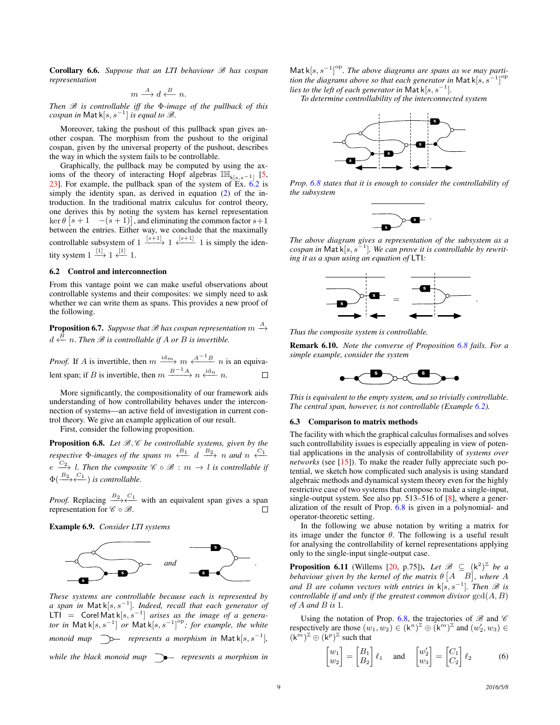Corollary 6.6. *Suppose that an LTI behaviour* B *has cospan representation*

$$
m \stackrel{A}{\longrightarrow} d \stackrel{B}{\longleftarrow} n.
$$

*Then* B *is controllable iff the* Φ*-image of the pullback of this*  $\mathit{cospan}$  in  $\mathsf{Matk}[s,s^{-1}]$  is equal to  $\mathscr{B}.$ 

Moreover, taking the pushout of this pullback span gives another cospan. The morphism from the pushout to the original cospan, given by the universal property of the pushout, describes the way in which the system fails to be controllable.

Graphically, the pullback may be computed by using the axioms of the theory of interacting Hopf algebras  $\mathbb{I}\mathbb{H}_{k[s,s-1]}$  [\[5,](#page-9-5) [23\]](#page-9-6). For example, the pullback span of the system of Ex. [6.2](#page-7-3) is simply the identity span, as derived in equation [\(2\)](#page-1-0) of the introduction. In the traditional matrix calculus for control theory, one derives this by noting the system has kernel representation  $\ker \theta$   $\begin{bmatrix} s+1 & -(s+1) \end{bmatrix}$ , and eliminating the common factor  $s+1$ between the entries. Either way, we conclude that the maximally controllable subsystem of  $1 \xrightarrow{[s+1]} 1 \xleftarrow{[s+1]} 1$  is simply the identity system  $1 \stackrel{[1]}{\longrightarrow} 1 \stackrel{[1]}{\longleftarrow} 1$ .

## 6.2 Control and interconnection

From this vantage point we can make useful observations about controllable systems and their composites: we simply need to ask whether we can write them as spans. This provides a new proof of the following.

**Proposition 6.7.** Suppose that  $\mathscr B$  has cospan representation  $m \stackrel{A}{\rightarrow}$  $d \stackrel{B}{\leftarrow} n$ . Then  $\mathscr B$  is controllable if A or B is invertible.

*Proof.* If A is invertible, then  $m \xrightarrow{\text{id}_m} m \xleftarrow{\text{A}^{-1}B} n$  is an equivalent span; if B is invertible, then  $m \xrightarrow{B^{-1}A} n \xleftarrow{\text{id}_n} n$ .

More significantly, the compositionality of our framework aids understanding of how controllability behaves under the interconnection of systems—an active field of investigation in current control theory. We give an example application of our result.

First, consider the following proposition.

<span id="page-8-0"></span>Proposition 6.8. Let  $\mathcal{B}, \mathcal{C}$  be controllable systems, given by the *respective*  $\Phi$ -*images of the spans*  $m \stackrel{B_1}{\longleftrightarrow} d \stackrel{B_2}{\longrightarrow} n$  *and*  $n \stackrel{C_1}{\longleftarrow}$  $e \stackrel{C_2}{\longrightarrow} l$ . Then the composite  $\mathscr C \circ \mathscr B : m \to l$  is controllable if  $\Phi(\frac{B_2-C_1}{\sqrt{C_1}})$  *is controllable.* 

*Proof.* Replacing  $\frac{B_2 \rightarrow C_1}{\longleftarrow}$  with an equivalent span gives a span representation for  $\mathscr{C} \circ \mathscr{B}$ .

Example 6.9. *Consider LTI systems*



*These systems are controllable because each is represented by a span in* Mat k[s, s<sup>−</sup><sup>1</sup> ]*. Indeed, recall that each generator of*  $LTI =$  Corel Mat  $k[s, s^{-1}]$  *arises as the image of a generator in* Mat k[s, s<sup>-1</sup>] *or* Mat k[s, s<sup>-1</sup>]<sup>op</sup>; for example, the white *monoid map*  $\Rightarrow$  *represents a morphism in* Matk[s, s<sup>-1</sup>], *while the black monoid map represents a morphism in*

Mat  $k[s, s^{-1}]^{\text{op}}$ . The above diagrams are spans as we may partition the diagrams above so that each generator in Mat k $[s, s^{-1}]^{\text{op}}$ *lies to the left of each generator in* Mat k $[s, s^{-1}]$ *.* 

*To determine controllability of the interconnected system*



*Prop. [6.8](#page-8-0) states that it is enough to consider the controllability of the subsystem*



*The above diagram gives a representation of the subsystem as a cospan in* Mat k[s, s<sup>−</sup><sup>1</sup> ]*. We can prove it is controllable by rewriting it as a span using an equation of* LTI*:*



*Thus the composite system is controllable.*

Remark 6.10. *Note the converse of Proposition [6.8](#page-8-0) fails. For a simple example, consider the system*



*This is equivalent to the empty system, and so trivially controllable. The central span, however, is not controllable (Example [6.2\)](#page-7-3).*

#### 6.3 Comparison to matrix methods

The facility with which the graphical calculus formalises and solves such controllability issues is especially appealing in view of potential applications in the analysis of controllability of *systems over networks* (see  $[15]$ ). To make the reader fully appreciate such potential, we sketch how complicated such analysis is using standard algebraic methods and dynamical system theory even for the highly restrictive case of two systems that compose to make a single-input, single-output system. See also pp. 513–516 of [\[8\]](#page-9-20), where a generalization of the result of Prop. [6.8](#page-8-0) is given in a polynomial- and operator-theoretic setting.

In the following we abuse notation by writing a matrix for its image under the functor  $\theta$ . The following is a useful result for analysing the controllability of kernel representations applying only to the single-input single-output case.

<span id="page-8-2"></span>**Proposition 6.11** (Willems [\[20,](#page-9-7) p.75]). Let  $\mathscr{B} \subseteq (k^2)^{\mathbb{Z}}$  be a behaviour given by the kernel of the matrix  $\theta$   $[A \quad B]$ , where  $A$ *and B* are column vectors with entries in k[s, s<sup>-1</sup>]. Then *B* is *controllable if and only if the greatest common divisor*  $gcd(A, B)$ *of* A *and* B *is* 1*.*

Using the notation of Prop. [6.8,](#page-8-0) the trajectories of  $\mathscr B$  and  $\mathscr C$ respectively are those  $(w_1, w_2) \in (\mathsf{k}^n)^{\mathbb{Z}} \oplus (\mathsf{k}^m)^{\mathbb{Z}}$  and  $(w_2', w_3) \in$  $(k^m)^{\mathbb{Z}} \oplus (k^p)^{\mathbb{Z}}$  such that

<span id="page-8-1"></span>
$$
\begin{bmatrix} w_1 \\ w_2 \end{bmatrix} = \begin{bmatrix} B_1 \\ B_2 \end{bmatrix} \ell_1 \quad \text{and} \quad \begin{bmatrix} w_2' \\ w_3 \end{bmatrix} = \begin{bmatrix} C_1 \\ C_2 \end{bmatrix} \ell_2 \tag{6}
$$